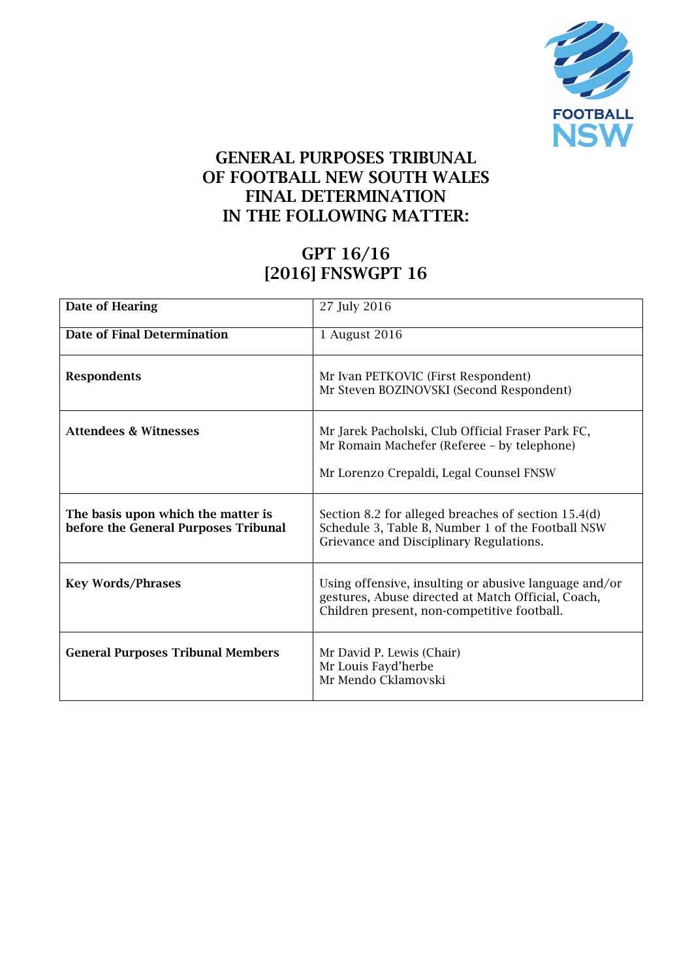

## GENERAL PURPOSES TRIBUNAL OF FOOTBALL NEW SOUTH WALES FINAL DETERMINATION IN THE FOLLOWING MATTER:

## GPT 16/16 [2016] FNSWGPT 16

| Date of Hearing                                                            | 27 July 2016                                                                                                                                               |
|----------------------------------------------------------------------------|------------------------------------------------------------------------------------------------------------------------------------------------------------|
| Date of Final Determination                                                | 1 August 2016                                                                                                                                              |
| <b>Respondents</b>                                                         | Mr Ivan PETKOVIC (First Respondent)<br>Mr Steven BOZINOVSKI (Second Respondent)                                                                            |
| <b>Attendees &amp; Witnesses</b>                                           | Mr Jarek Pacholski, Club Official Fraser Park FC,<br>Mr Romain Machefer (Referee - by telephone)<br>Mr Lorenzo Crepaldi, Legal Counsel FNSW                |
| The basis upon which the matter is<br>before the General Purposes Tribunal | Section 8.2 for alleged breaches of section 15.4(d)<br>Schedule 3, Table B, Number 1 of the Football NSW<br>Grievance and Disciplinary Regulations.        |
| <b>Key Words/Phrases</b>                                                   | Using offensive, insulting or abusive language and/or<br>gestures, Abuse directed at Match Official, Coach,<br>Children present, non-competitive football. |
| <b>General Purposes Tribunal Members</b>                                   | Mr David P. Lewis (Chair)<br>Mr Louis Fayd'herbe<br>Mr Mendo Cklamovski                                                                                    |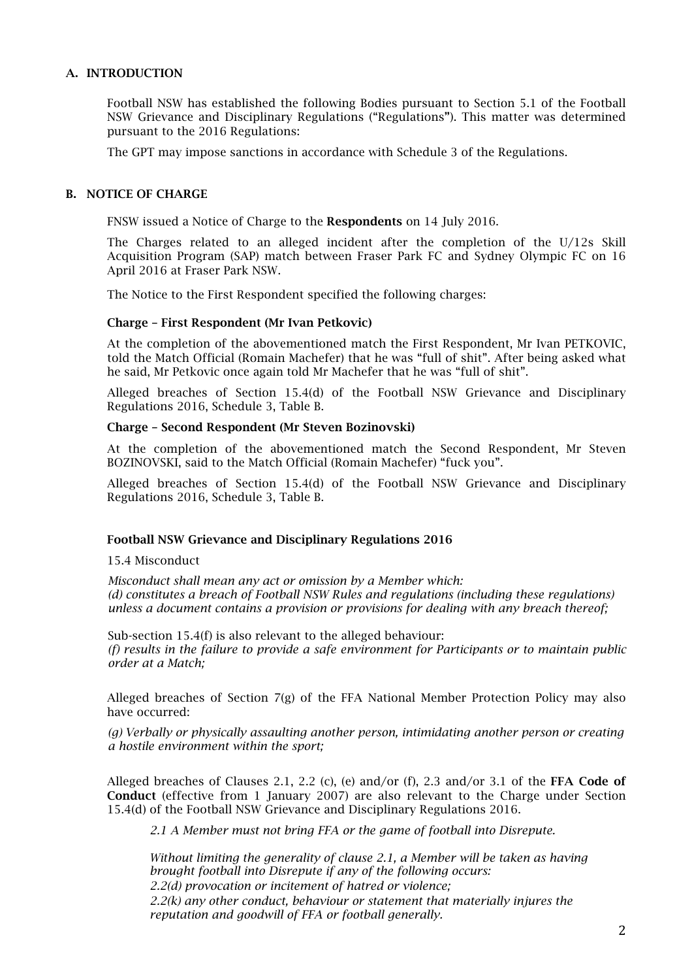#### A. INTRODUCTION

Football NSW has established the following Bodies pursuant to Section 5.1 of the Football NSW Grievance and Disciplinary Regulations ("Regulations"). This matter was determined pursuant to the 2016 Regulations:

The GPT may impose sanctions in accordance with Schedule 3 of the Regulations.

#### B. NOTICE OF CHARGE

FNSW issued a Notice of Charge to the Respondents on 14 July 2016.

The Charges related to an alleged incident after the completion of the U/12s Skill Acquisition Program (SAP) match between Fraser Park FC and Sydney Olympic FC on 16 April 2016 at Fraser Park NSW.

The Notice to the First Respondent specified the following charges:

#### Charge – First Respondent (Mr Ivan Petkovic)

At the completion of the abovementioned match the First Respondent, Mr Ivan PETKOVIC, told the Match Official (Romain Machefer) that he was "full of shit". After being asked what he said, Mr Petkovic once again told Mr Machefer that he was "full of shit".

Alleged breaches of Section 15.4(d) of the Football NSW Grievance and Disciplinary Regulations 2016, Schedule 3, Table B.

#### Charge – Second Respondent (Mr Steven Bozinovski)

At the completion of the abovementioned match the Second Respondent, Mr Steven BOZINOVSKI, said to the Match Official (Romain Machefer) "fuck you".

Alleged breaches of Section 15.4(d) of the Football NSW Grievance and Disciplinary Regulations 2016, Schedule 3, Table B.

#### Football NSW Grievance and Disciplinary Regulations 2016

15.4 Misconduct

*Misconduct shall mean any act or omission by a Member which: (d) constitutes a breach of Football NSW Rules and regulations (including these regulations) unless a document contains a provision or provisions for dealing with any breach thereof;* 

Sub-section 15.4(f) is also relevant to the alleged behaviour: *(f) results in the failure to provide a safe environment for Participants or to maintain public order at a Match;*

Alleged breaches of Section  $7(g)$  of the FFA National Member Protection Policy may also have occurred:

*(g) Verbally or physically assaulting another person, intimidating another person or creating a hostile environment within the sport;* 

Alleged breaches of Clauses 2.1, 2.2 (c), (e) and/or (f), 2.3 and/or 3.1 of the FFA Code of Conduct (effective from 1 January 2007) are also relevant to the Charge under Section 15.4(d) of the Football NSW Grievance and Disciplinary Regulations 2016.

*2.1 A Member must not bring FFA or the game of football into Disrepute.*

*Without limiting the generality of clause 2.1, a Member will be taken as having brought football into Disrepute if any of the following occurs: 2.2(d) provocation or incitement of hatred or violence; 2.2(k) any other conduct, behaviour or statement that materially injures the reputation and goodwill of FFA or football generally.*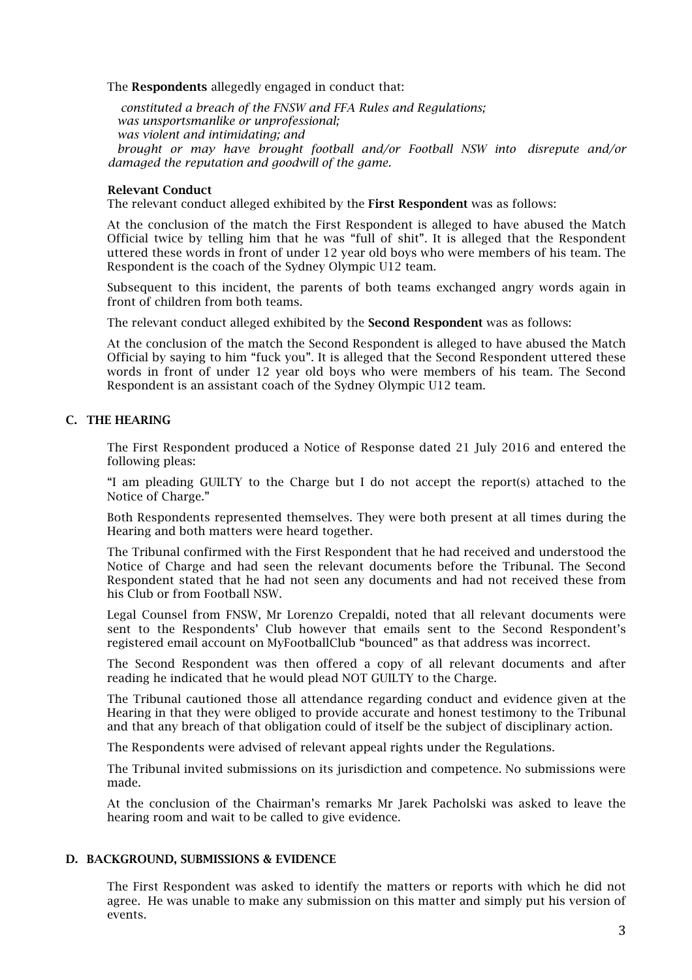#### The Respondents allegedly engaged in conduct that:

 *constituted a breach of the FNSW and FFA Rules and Regulations; was unsportsmanlike or unprofessional; was violent and intimidating; and brought or may have brought football and/or Football NSW into disrepute and/or damaged the reputation and goodwill of the game.* 

#### Relevant Conduct

The relevant conduct alleged exhibited by the First Respondent was as follows:

At the conclusion of the match the First Respondent is alleged to have abused the Match Official twice by telling him that he was "full of shit". It is alleged that the Respondent uttered these words in front of under 12 year old boys who were members of his team. The Respondent is the coach of the Sydney Olympic U12 team.

Subsequent to this incident, the parents of both teams exchanged angry words again in front of children from both teams.

The relevant conduct alleged exhibited by the Second Respondent was as follows:

At the conclusion of the match the Second Respondent is alleged to have abused the Match Official by saying to him "fuck you". It is alleged that the Second Respondent uttered these words in front of under 12 year old boys who were members of his team. The Second Respondent is an assistant coach of the Sydney Olympic U12 team.

#### C. THE HEARING

The First Respondent produced a Notice of Response dated 21 July 2016 and entered the following pleas:

"I am pleading GUILTY to the Charge but I do not accept the report(s) attached to the Notice of Charge."

Both Respondents represented themselves. They were both present at all times during the Hearing and both matters were heard together.

The Tribunal confirmed with the First Respondent that he had received and understood the Notice of Charge and had seen the relevant documents before the Tribunal. The Second Respondent stated that he had not seen any documents and had not received these from his Club or from Football NSW.

Legal Counsel from FNSW, Mr Lorenzo Crepaldi, noted that all relevant documents were sent to the Respondents' Club however that emails sent to the Second Respondent's registered email account on MyFootballClub "bounced" as that address was incorrect.

The Second Respondent was then offered a copy of all relevant documents and after reading he indicated that he would plead NOT GUILTY to the Charge.

The Tribunal cautioned those all attendance regarding conduct and evidence given at the Hearing in that they were obliged to provide accurate and honest testimony to the Tribunal and that any breach of that obligation could of itself be the subject of disciplinary action.

The Respondents were advised of relevant appeal rights under the Regulations.

The Tribunal invited submissions on its jurisdiction and competence. No submissions were made.

At the conclusion of the Chairman's remarks Mr Jarek Pacholski was asked to leave the hearing room and wait to be called to give evidence.

#### D. BACKGROUND, SUBMISSIONS & EVIDENCE

The First Respondent was asked to identify the matters or reports with which he did not agree. He was unable to make any submission on this matter and simply put his version of events.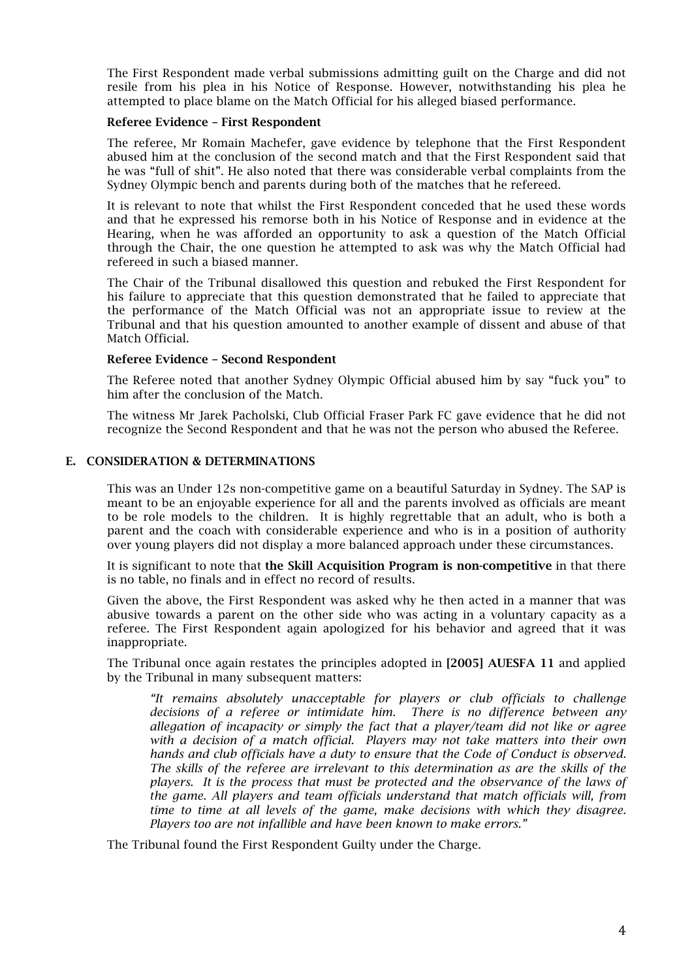The First Respondent made verbal submissions admitting guilt on the Charge and did not resile from his plea in his Notice of Response. However, notwithstanding his plea he attempted to place blame on the Match Official for his alleged biased performance.

#### Referee Evidence – First Respondent

The referee, Mr Romain Machefer, gave evidence by telephone that the First Respondent abused him at the conclusion of the second match and that the First Respondent said that he was "full of shit". He also noted that there was considerable verbal complaints from the Sydney Olympic bench and parents during both of the matches that he refereed.

It is relevant to note that whilst the First Respondent conceded that he used these words and that he expressed his remorse both in his Notice of Response and in evidence at the Hearing, when he was afforded an opportunity to ask a question of the Match Official through the Chair, the one question he attempted to ask was why the Match Official had refereed in such a biased manner.

The Chair of the Tribunal disallowed this question and rebuked the First Respondent for his failure to appreciate that this question demonstrated that he failed to appreciate that the performance of the Match Official was not an appropriate issue to review at the Tribunal and that his question amounted to another example of dissent and abuse of that Match Official.

#### Referee Evidence – Second Respondent

The Referee noted that another Sydney Olympic Official abused him by say "fuck you" to him after the conclusion of the Match.

The witness Mr Jarek Pacholski, Club Official Fraser Park FC gave evidence that he did not recognize the Second Respondent and that he was not the person who abused the Referee.

#### E. CONSIDERATION & DETERMINATIONS

This was an Under 12s non-competitive game on a beautiful Saturday in Sydney. The SAP is meant to be an enjoyable experience for all and the parents involved as officials are meant to be role models to the children. It is highly regrettable that an adult, who is both a parent and the coach with considerable experience and who is in a position of authority over young players did not display a more balanced approach under these circumstances.

It is significant to note that the Skill Acquisition Program is non-competitive in that there is no table, no finals and in effect no record of results.

Given the above, the First Respondent was asked why he then acted in a manner that was abusive towards a parent on the other side who was acting in a voluntary capacity as a referee. The First Respondent again apologized for his behavior and agreed that it was inappropriate.

The Tribunal once again restates the principles adopted in [2005] AUESFA 11 and applied by the Tribunal in many subsequent matters:

*"It remains absolutely unacceptable for players or club officials to challenge decisions of a referee or intimidate him. There is no difference between any allegation of incapacity or simply the fact that a player/team did not like or agree with a decision of a match official. Players may not take matters into their own hands and club officials have a duty to ensure that the Code of Conduct is observed. The skills of the referee are irrelevant to this determination as are the skills of the players. It is the process that must be protected and the observance of the laws of the game. All players and team officials understand that match officials will, from time to time at all levels of the game, make decisions with which they disagree. Players too are not infallible and have been known to make errors."* 

The Tribunal found the First Respondent Guilty under the Charge.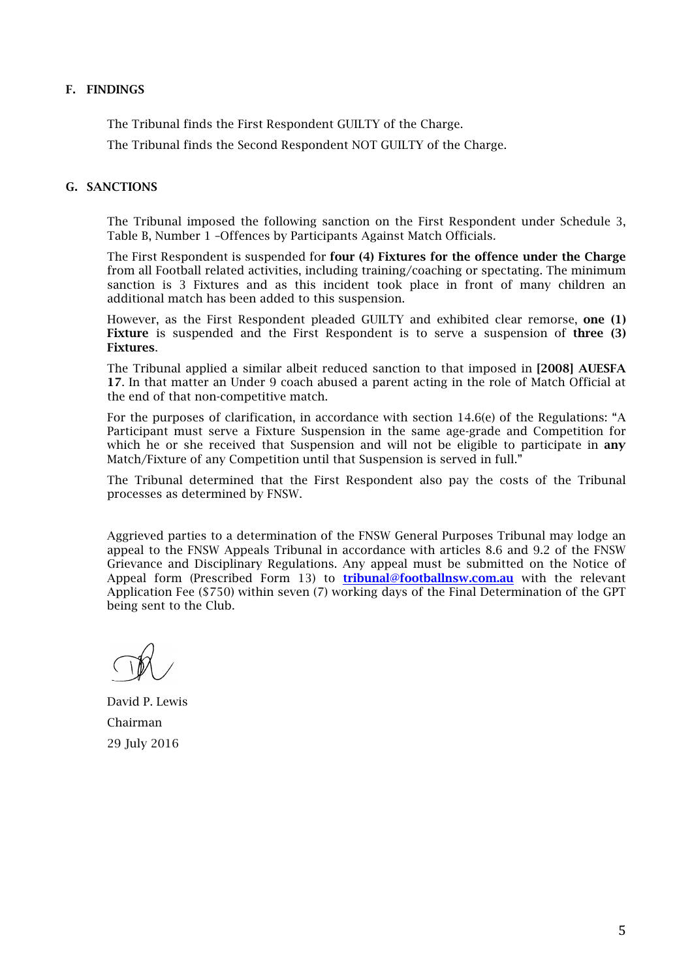#### F. FINDINGS

The Tribunal finds the First Respondent GUILTY of the Charge.

The Tribunal finds the Second Respondent NOT GUILTY of the Charge.

#### G. SANCTIONS

The Tribunal imposed the following sanction on the First Respondent under Schedule 3, Table B, Number 1 –Offences by Participants Against Match Officials*.* 

The First Respondent is suspended for four (4) Fixtures for the offence under the Charge from all Football related activities, including training/coaching or spectating. The minimum sanction is 3 Fixtures and as this incident took place in front of many children an additional match has been added to this suspension.

However, as the First Respondent pleaded GUILTY and exhibited clear remorse, one (1) Fixture is suspended and the First Respondent is to serve a suspension of three (3) Fixtures.

The Tribunal applied a similar albeit reduced sanction to that imposed in [2008] AUESFA 17. In that matter an Under 9 coach abused a parent acting in the role of Match Official at the end of that non-competitive match.

For the purposes of clarification, in accordance with section 14.6(e) of the Regulations: "A Participant must serve a Fixture Suspension in the same age-grade and Competition for which he or she received that Suspension and will not be eligible to participate in any Match/Fixture of any Competition until that Suspension is served in full."

The Tribunal determined that the First Respondent also pay the costs of the Tribunal processes as determined by FNSW.

Aggrieved parties to a determination of the FNSW General Purposes Tribunal may lodge an appeal to the FNSW Appeals Tribunal in accordance with articles 8.6 and 9.2 of the FNSW Grievance and Disciplinary Regulations. Any appeal must be submitted on the Notice of Appeal form (Prescribed Form 13) to **tribunal@footballnsw.com.au** with the relevant Application Fee (\$750) within seven (7) working days of the Final Determination of the GPT being sent to the Club.

David P. Lewis Chairman 29 July 2016